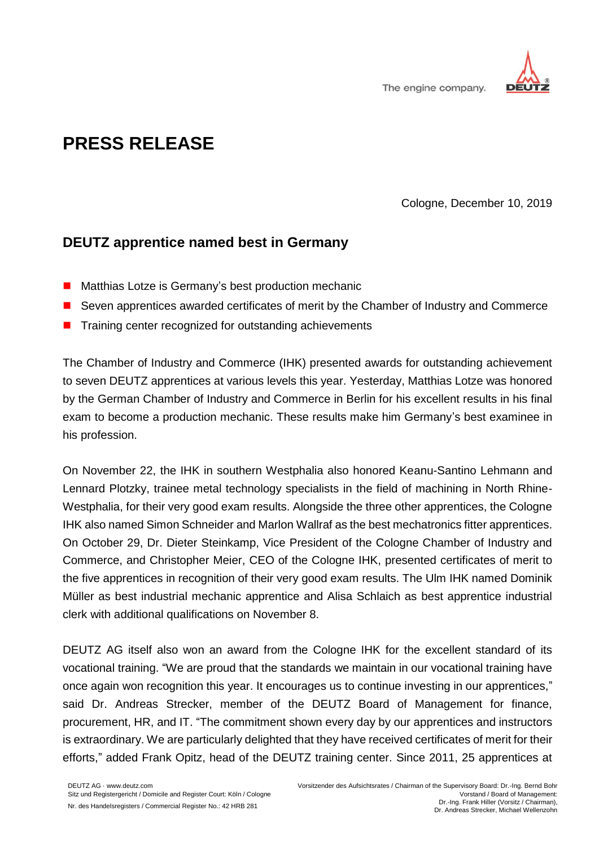

The engine company.

## **PRESS RELEASE**

Cologne, December 10, 2019

## **DEUTZ apprentice named best in Germany**

- Matthias Lotze is Germany's best production mechanic
- Seven apprentices awarded certificates of merit by the Chamber of Industry and Commerce
- Training center recognized for outstanding achievements

The Chamber of Industry and Commerce (IHK) presented awards for outstanding achievement to seven DEUTZ apprentices at various levels this year. Yesterday, Matthias Lotze was honored by the German Chamber of Industry and Commerce in Berlin for his excellent results in his final exam to become a production mechanic. These results make him Germany's best examinee in his profession.

On November 22, the IHK in southern Westphalia also honored Keanu-Santino Lehmann and Lennard Plotzky, trainee metal technology specialists in the field of machining in North Rhine-Westphalia, for their very good exam results. Alongside the three other apprentices, the Cologne IHK also named Simon Schneider and Marlon Wallraf as the best mechatronics fitter apprentices. On October 29, Dr. Dieter Steinkamp, Vice President of the Cologne Chamber of Industry and Commerce, and Christopher Meier, CEO of the Cologne IHK, presented certificates of merit to the five apprentices in recognition of their very good exam results. The Ulm IHK named Dominik Müller as best industrial mechanic apprentice and Alisa Schlaich as best apprentice industrial clerk with additional qualifications on November 8.

DEUTZ AG itself also won an award from the Cologne IHK for the excellent standard of its vocational training. "We are proud that the standards we maintain in our vocational training have once again won recognition this year. It encourages us to continue investing in our apprentices," said Dr. Andreas Strecker, member of the DEUTZ Board of Management for finance, procurement, HR, and IT. "The commitment shown every day by our apprentices and instructors is extraordinary. We are particularly delighted that they have received certificates of merit for their efforts," added Frank Opitz, head of the DEUTZ training center. Since 2011, 25 apprentices at